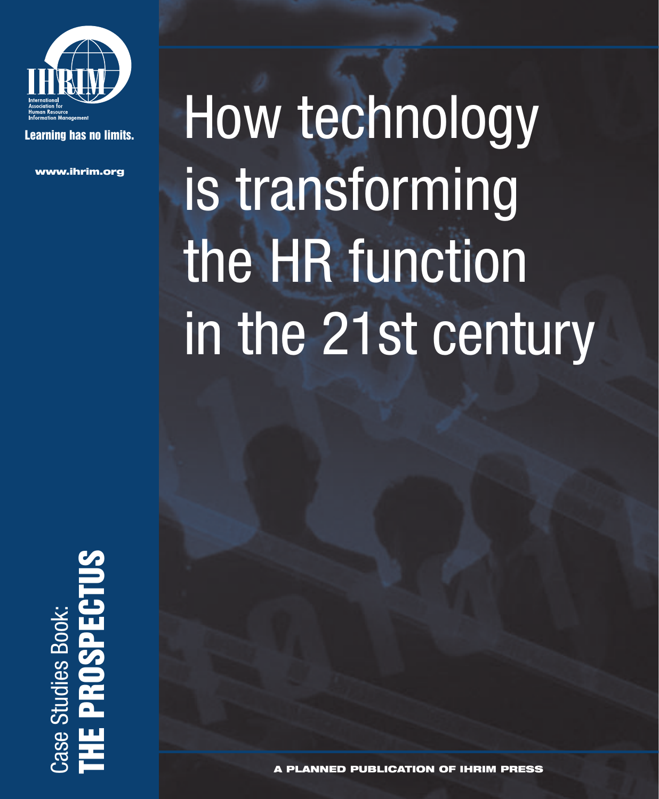

**Learning has no limits.**

**www.ihrim.org**

# How technology is transforming the HR function in the 21st century

**THE PROSPECTUS** Ī ase Studies Book: Case Studies Book: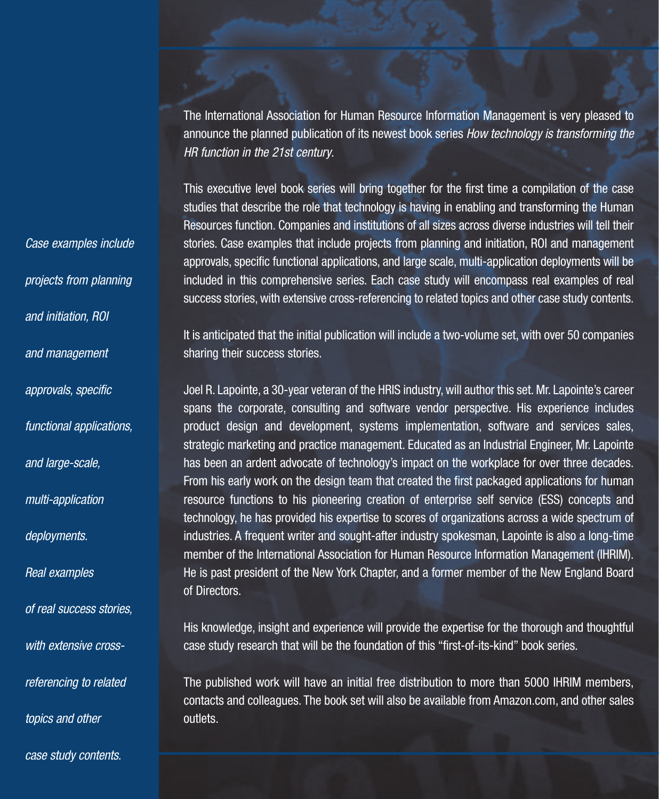The International Association for Human Resource Information Management is very pleased to announce the planned publication of its newest book series *How technology is transforming the HR function in the 21st century*.

This executive level book series will bring together for the first time a compilation of the case studies that describe the role that technology is having in enabling and transforming the Human Resources function. Companies and institutions of all sizes across diverse industries will tell their stories. Case examples that include projects from planning and initiation, ROI and management approvals, specific functional applications, and large scale, multi-application deployments will be included in this comprehensive series. Each case study will encompass real examples of real success stories, with extensive cross-referencing to related topics and other case study contents.

It is anticipated that the initial publication will include a two-volume set, with over 50 companies sharing their success stories.

Joel R. Lapointe, a 30-year veteran of the HRIS industry, will author this set. Mr. Lapointe's career spans the corporate, consulting and software vendor perspective. His experience includes product design and development, systems implementation, software and services sales, strategic marketing and practice management. Educated as an Industrial Engineer, Mr. Lapointe has been an ardent advocate of technology's impact on the workplace for over three decades. From his early work on the design team that created the first packaged applications for human resource functions to his pioneering creation of enterprise self service (ESS) concepts and technology, he has provided his expertise to scores of organizations across a wide spectrum of industries. A frequent writer and sought-after industry spokesman, Lapointe is also a long-time member of the International Association for Human Resource Information Management (IHRIM). He is past president of the New York Chapter, and a former member of the New England Board of Directors.

His knowledge, insight and experience will provide the expertise for the thorough and thoughtful case study research that will be the foundation of this "first-of-its-kind" book series.

The published work will have an initial free distribution to more than 5000 IHRIM members, contacts and colleagues. The book set will also be available from Amazon.com, and other sales outlets.

*Case examples include projects from planning and initiation, ROI and management approvals, specific functional applications, and large-scale, multi-application deployments. Real examples of real success stories,*

*with extensive cross-*

*referencing to related*

*topics and other* 

*case study contents.*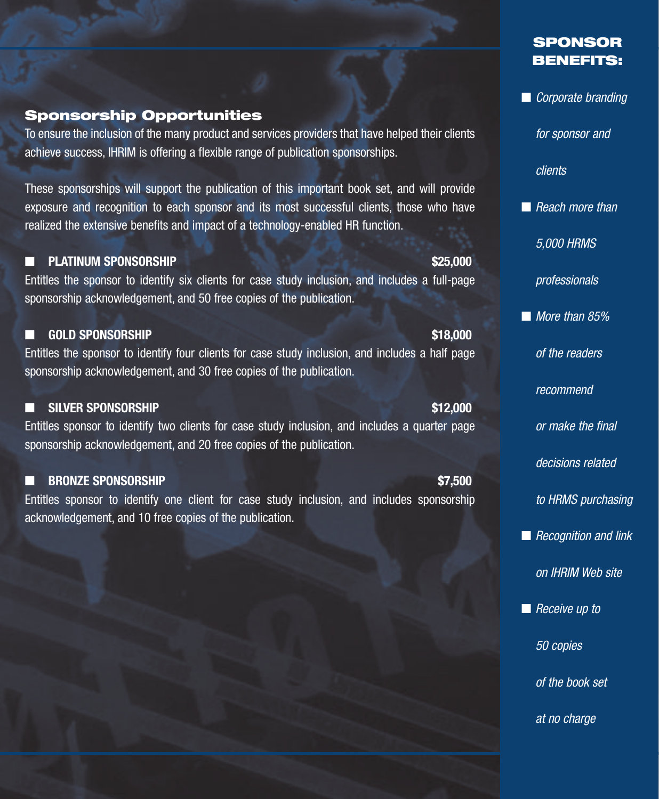#### **Sponsorship Opportunities**

To ensure the inclusion of the many product and services providers that have helped their clients achieve success, IHRIM is offering a flexible range of publication sponsorships.

These sponsorships will support the publication of this important book set, and will provide exposure and recognition to each sponsor and its most successful clients, those who have realized the extensive benefits and impact of a technology-enabled HR function.

#### ■ PLATINUM SPONSORSHIP **\$25,000 \$25,000**

Entitles the sponsor to identify six clients for case study inclusion, and includes a full-page sponsorship acknowledgement, and 50 free copies of the publication.

### ■ **GOLD SPONSORSHIP \$18,000**

Entitles the sponsor to identify four clients for case study inclusion, and includes a half page sponsorship acknowledgement, and 30 free copies of the publication.

### ■ **SILVER SPONSORSHIP \$12,000**

Entitles sponsor to identify two clients for case study inclusion, and includes a quarter page sponsorship acknowledgement, and 20 free copies of the publication.

### ■ **BRONZE SPONSORSHIP \$7,500**

Entitles sponsor to identify one client for case study inclusion, and includes sponsorship acknowledgement, and 10 free copies of the publication.

## **SPONSOR BENEFITS:**

■ *Corporate branding*

*for sponsor and*

*clients*

■ *Reach more than* 

*5,000 HRMS* 

*professionals*

■ *More than 85%* 

*of the readers* 

*recommend* 

*or make the final*

*decisions related* 

*to HRMS purchasing*

■ *Recognition and link* 

*on IHRIM Web site*

■ *Receive up to* 

*50 copies* 

*of the book set* 

*at no charge*